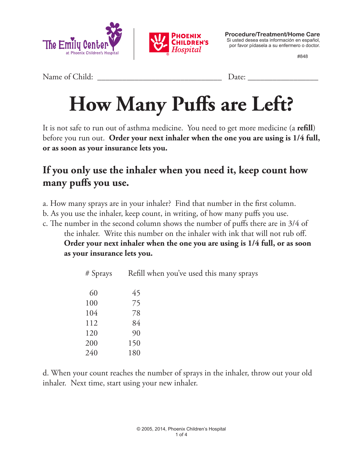



**Procedure/Treatment/Home Care** Si usted desea esta información en español, por favor pídasela a su enfermero o doctor.

#848

Name of Child: \_\_\_\_\_\_\_\_\_\_\_\_\_\_\_\_\_\_\_\_\_\_\_\_\_\_\_\_\_\_ Date: \_\_\_\_\_\_\_\_\_\_\_\_\_\_\_\_\_

# **How Many Puffs are Left?**

It is not safe to run out of asthma medicine. You need to get more medicine (a **refill**) before you run out. **Order your next inhaler when the one you are using is 1/4 full, or as soon as your insurance lets you.**

### **If you only use the inhaler when you need it, keep count how many puffs you use.**

- a. How many sprays are in your inhaler? Find that number in the first column.
- b. As you use the inhaler, keep count, in writing, of how many puffs you use.
- c. The number in the second column shows the number of puffs there are in 3/4 of the inhaler. Write this number on the inhaler with ink that will not rub off. **Order your next inhaler when the one you are using is 1/4 full, or as soon as your insurance lets you.**

| # Sprays | Refill when you've used this many sprays |  |
|----------|------------------------------------------|--|
| 60       | 45                                       |  |
| 100      | 75                                       |  |
| 104      | 78                                       |  |
| 112      | 84                                       |  |
| 120      | 90                                       |  |
| 200      | 150                                      |  |
| 240      | 180                                      |  |

d. When your count reaches the number of sprays in the inhaler, throw out your old inhaler. Next time, start using your new inhaler.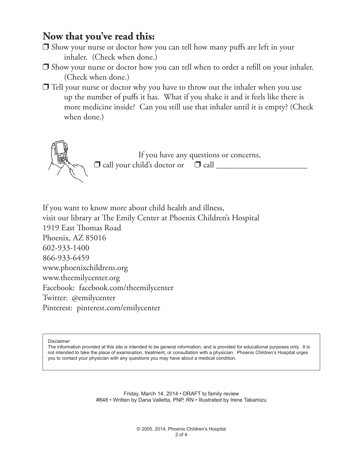#### **Now that you've read this:**

- $\Box$  Show your nurse or doctor how you can tell how many puffs are left in your inhaler. (Check when done.)
- $\Box$  Show your nurse or doctor how you can tell when to order a refill on your inhaler. (Check when done.)
- $\Box$  Tell your nurse or doctor why you have to throw out the inhaler when you use up the number of puffs it has. What if you shake it and it feels like there is more medicine inside? Can you still use that inhaler until it is empty? (Check when done.)



If you want to know more about child health and illness, visit our library at The Emily Center at Phoenix Children's Hospital 1919 East Thomas Road Phoenix, AZ 85016 602-933-1400 866-933-6459 www.phoenixchildrens.org www.theemilycenter.org Facebook: facebook.com/theemilycenter Twitter: @emilycenter Pinterest: pinterest.com/emilycenter

Disclaimer

The information provided at this site is intended to be general information, and is provided for educational purposes only. It is not intended to take the place of examination, treatment, or consultation with a physician. Phoenix Children's Hospital urges you to contact your physician with any questions you may have about a medical condition.

> Friday, March 14, 2014 • DRAFT to family review #848 • Written by Dana Valletta, PNP, RN • Illustrated by Irene Takamizu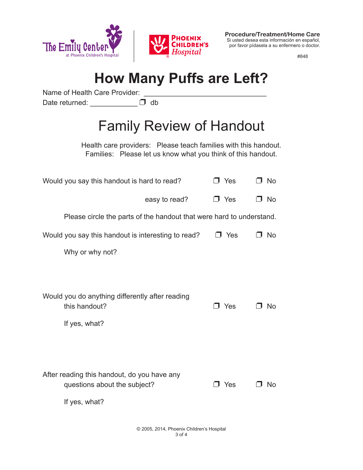



**Procedure/Treatment/Home Care** Si usted desea esta información en español, por favor pídasela a su enfermero o doctor.

#848

## **How Many Puffs are Left?**

Name of Health Care Provider:

Date returned: \_\_\_\_\_\_\_\_\_\_\_\_\_\_\_\_ D db

## Family Review of Handout

Health care providers: Please teach families with this handout. Families: Please let us know what you think of this handout.

| Would you say this handout is hard to read?                                       | J Yes      | □ No      |  |
|-----------------------------------------------------------------------------------|------------|-----------|--|
| easy to read?                                                                     | J Yes      | No<br>п.  |  |
| Please circle the parts of the handout that were hard to understand.              |            |           |  |
| Would you say this handout is interesting to read?                                | $\Box$ Yes | ⊐ No      |  |
| Why or why not?                                                                   |            |           |  |
|                                                                                   |            |           |  |
| Would you do anything differently after reading<br>this handout?<br>If yes, what? | コ Yes      | <b>No</b> |  |
|                                                                                   |            |           |  |
|                                                                                   |            |           |  |
| After reading this handout, do you have any<br>questions about the subject?       | J Yes      | No.       |  |
| If yes, what?                                                                     |            |           |  |
|                                                                                   |            |           |  |

© 2005, 2014, Phoenix Children's Hospital 3 of 4